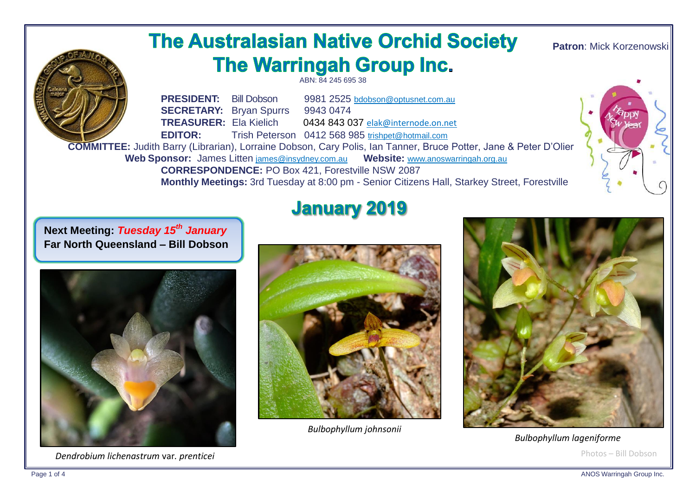# **The Australasian Native Orchid Society** The Warringah Group Inc.

ABN: 84 245 695 38

**Patron**: Mick Korzenowski



**PRESIDENT:** Bill Dobson 9981 2525 bdobson@optusnet.com.au **SECRETARY:** Bryan Spurrs 9943 0474 **TREASURER:** Ela Kielich 0434 843 037 elak@internode.on.net **EDITOR:** Trish Peterson 0412 568 985 trishpet@hotmail.com

 **COMMITTEE:** Judith Barry (Librarian), Lorraine Dobson, Cary Polis, Ian Tanner, Bruce Potter, Jane & Peter D'Olier  **Web Sponsor:** James Litten [james@insydney.com.au](mailto:james@insydney.com.au) **Website:** [www.anoswarringah.org.au](http://www.anoswarringah.org.au/)

> **CORRESPONDENCE:** PO Box 421, Forestville NSW 2087 **Monthly Meetings:** 3rd Tuesday at 8:00 pm - Senior Citizens Hall, Starkey Street, Forestville

**Next Meeting:** *Tuesday 15th January* **Far North Queensland – Bill Dobson**



 *Dendrobium lichenastrum* var*. prenticei*

# **January 2019**



 *Bulbophyllum johnsonii*



Photos – Bill Dobson  *Bulbophyllum lageniforme*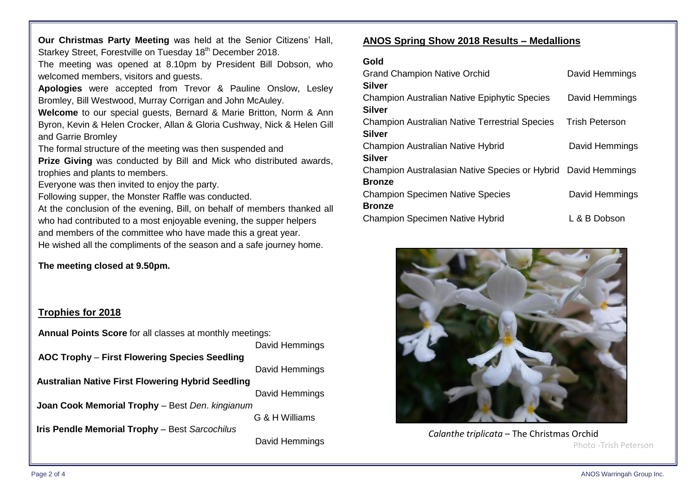**Our Christmas Party Meeting** was held at the Senior Citizens' Hall,

Starkey Street, Forestville on Tuesday 18<sup>th</sup> December 2018.

The meeting was opened at 8.10pm by President Bill Dobson, who welcomed members, visitors and guests.

**Apologies** were accepted from Trevor & Pauline Onslow, Lesley Bromley, Bill Westwood, Murray Corrigan and John McAuley.

**Welcome** to our special guests, Bernard & Marie Britton, Norm & Ann Byron, Kevin & Helen Crocker, Allan & Gloria Cushway, Nick & Helen Gill and Garrie Bromley

The formal structure of the meeting was then suspended and

**Prize Giving** was conducted by Bill and Mick who distributed awards, trophies and plants to members.

Everyone was then invited to enjoy the party.

Following supper, the Monster Raffle was conducted.

At the conclusion of the evening, Bill, on behalf of members thanked all who had contributed to a most enjoyable evening, the supper helpers and members of the committee who have made this a great year. He wished all the compliments of the season and a safe journey home.

**The meeting closed at 9.50pm.**

### **Trophies for 2018**

**Annual Points Score** for all classes at monthly meetings:

|                                                          | David Hemmings |
|----------------------------------------------------------|----------------|
| AOC Trophy - First Flowering Species Seedling            |                |
|                                                          | David Hemmings |
| <b>Australian Native First Flowering Hybrid Seedling</b> |                |
|                                                          | David Hemmings |
| Joan Cook Memorial Trophy - Best Den. kingianum          |                |
|                                                          | G & H Williams |
| Iris Pendle Memorial Trophy - Best Sarcochilus           |                |
|                                                          | David Hemmings |
|                                                          |                |

#### **ANOS Spring Show 2018 Results – Medallions**

| ۰.<br>×<br>I<br>×<br>×<br>۰.<br>$\sim$<br>× |  |  |
|---------------------------------------------|--|--|
|---------------------------------------------|--|--|

| <b>Grand Champion Native Orchid</b>                           | David Hemmings        |
|---------------------------------------------------------------|-----------------------|
| <b>Silver</b>                                                 |                       |
| <b>Champion Australian Native Epiphytic Species</b>           | David Hemmings        |
| <b>Silver</b>                                                 |                       |
| <b>Champion Australian Native Terrestrial Species</b>         | <b>Trish Peterson</b> |
| <b>Silver</b>                                                 |                       |
| <b>Champion Australian Native Hybrid</b>                      | David Hemmings        |
| <b>Silver</b>                                                 |                       |
| Champion Australasian Native Species or Hybrid David Hemmings |                       |
| <b>Bronze</b>                                                 |                       |
| <b>Champion Specimen Native Species</b>                       | David Hemmings        |
| <b>Bronze</b>                                                 |                       |
| <b>Champion Specimen Native Hybrid</b>                        | L & B Dobson          |



 *Calanthe triplicata* – The Christmas Orchid Photo -Trish Peterson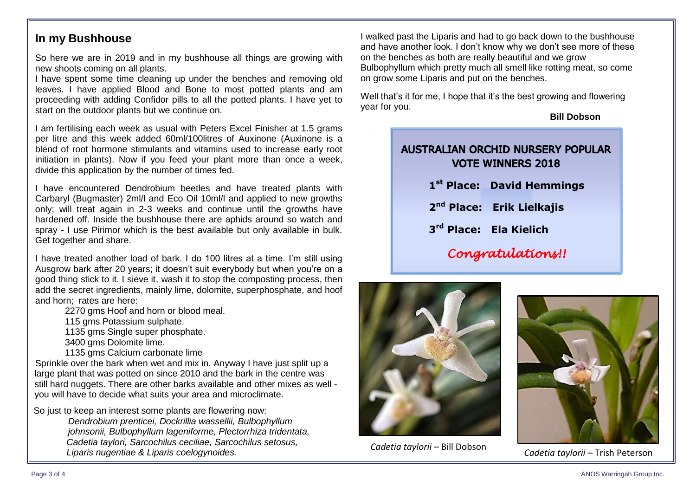### **In my Bushhouse**

So here we are in 2019 and in my bushhouse all things are growing with new shoots coming on all plants.

I have spent some time cleaning up under the benches and removing old leaves. I have applied Blood and Bone to most potted plants and am proceeding with adding Confidor pills to all the potted plants. I have yet to start on the outdoor plants but we continue on.

I am fertilising each week as usual with Peters Excel Finisher at 1.5 grams per litre and this week added 60ml/100litres of Auxinone (Auxinone is a blend of root hormone stimulants and vitamins used to increase early root initiation in plants). Now if you feed your plant more than once a week, divide this application by the number of times fed.

I have encountered Dendrobium beetles and have treated plants with Carbaryl (Bugmaster) 2ml/l and Eco Oil 10ml/l and applied to new growths only; will treat again in 2-3 weeks and continue until the growths have hardened off. Inside the bushhouse there are aphids around so watch and spray - I use Pirimor which is the best available but only available in bulk. Get together and share.

I have treated another load of bark. I do 100 litres at a time. I'm still using Ausgrow bark after 20 years; it doesn't suit everybody but when you're on a good thing stick to it. I sieve it, wash it to stop the composting process, then add the secret ingredients, mainly lime, dolomite, superphosphate, and hoof and horn; rates are here:

2270 gms Hoof and horn or blood meal.

115 gms Potassium sulphate.

1135 gms Single super phosphate.

3400 gms Dolomite lime.

1135 gms Calcium carbonate lime

Sprinkle over the bark when wet and mix in. Anyway I have just split up a large plant that was potted on since 2010 and the bark in the centre was still hard nuggets. There are other barks available and other mixes as well you will have to decide what suits your area and microclimate.

 So just to keep an interest some plants are flowering now: *Dendrobium prenticei, Dockrillia wassellii, Bulbophyllum johnsonii, Bulbophyllum lageniforme, Plectorrhiza tridentata, Cadetia taylori, Sarcochilus ceciliae, Sarcochilus setosus, Liparis nugentiae & Liparis coelogynoides.*

I walked past the Liparis and had to go back down to the bushhouse and have another look. I don't know why we don't see more of these on the benches as both are really beautiful and we grow Bulbophyllum which pretty much all smell like rotting meat, so come on grow some Liparis and put on the benches.

Well that's it for me, I hope that it's the best growing and flowering year for you.

**Bill Dobson**

## **AUSTRALIAN ORCHID NURSERY POPULAR VOTE WINNERS 2018**

- **1 st Place: David Hemmings**
- **2 nd Place: Erik Lielkajis**
- **3 rd Place: Ela Kielich**
	- *Congratulations!!*



*Cadetia taylorii* – Bill Dobson



*Cadetia taylorii* – Trish Peterson